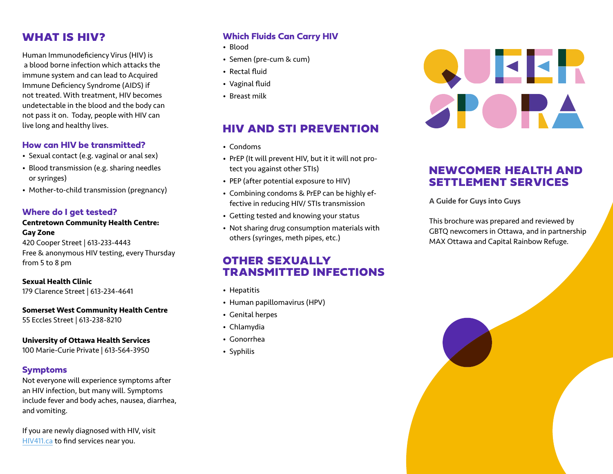# WHAT IS HIV?

Human Immunodeficiency Virus (HIV) is a blood borne infection which attacks the immune system and can lead to Acquired Immune Deficiency Syndrome (AIDS) if not treated. With treatment, HIV becomes undetectable in the blood and the body can not pass it on. Today, people with HIV can live long and healthy lives.

### **How can HIV be transmitted?**

- Sexual contact (e.g. vaginal or anal sex)
- Blood transmission (e.g. sharing needles or syringes)
- Mother-to-child transmission (pregnancy)

#### **Where do I get tested?**

#### **Centretown Community Health Centre: Gay Zone**

420 Cooper Street | 613-233-4443 Free & anonymous HIV testing, every Thursday from 5 to 8 pm

#### **Sexual Health Clinic**

179 Clarence Street | 613-234-4641

#### **Somerset West Community Health Centre**

55 Eccles Street | 613-238-8210

#### **University of Ottawa Health Services**

100 Marie-Curie Private | 613-564-3950

## **Symptoms**

Not everyone will experience symptoms after an HIV infection, but many will. Symptoms include fever and body aches, nausea, diarrhea, and vomiting.

If you are newly diagnosed with HIV, visit [HIV411.ca](http://HIV411.ca) to find services near you.

## **Which Fluids Can Carry HIV**

- Blood
- Semen (pre-cum & cum)
- Rectal fluid
- Vaginal fluid
- Breast milk

# HIV AND STI PREVENTION

- Condoms
- PrEP (It will prevent HIV, but it it will not protect you against other STIs)
- PEP (after potential exposure to HIV)
- Combining condoms & PrEP can be highly effective in reducing HIV/ STIs transmission
- Getting tested and knowing your status
- Not sharing drug consumption materials with others (syringes, meth pipes, etc.)

# OTHER SEXUALLY TRANSMITTED INFECTIONS

- Hepatitis
- Human papillomavirus (HPV)
- Genital herpes
- Chlamydia
- Gonorrhea
- Syphilis



## NEWCOMER HEALTH AND SETTLEMENT SERVICES

A Guide for Guys into Guys

This brochure was prepared and reviewed by GBTQ newcomers in Ottawa, and in partnership MAX Ottawa and Capital Rainbow Refuge.